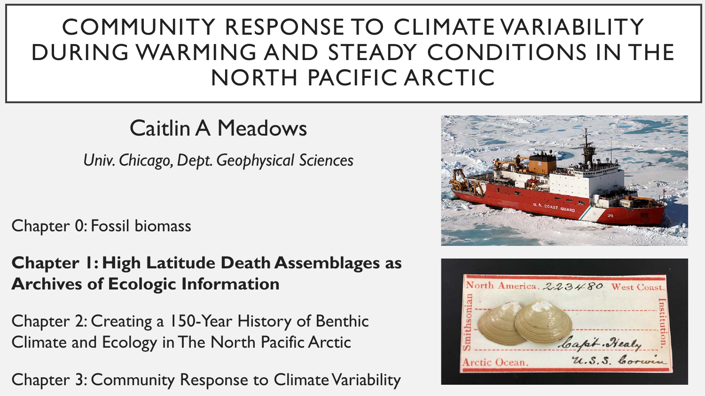# COMMUNITY RESPONSE TO CLIMATE VARIABILITY DURING WARMING AND STEADY CONDITIONS IN THE NORTH PACIFIC ARCTIC

## Caitlin A Meadows

*Univ. Chicago, Dept. Geophysical Sciences*

Chapter 0: Fossil biomass

**Chapter 1: High Latitude Death Assemblages as Archives of Ecologic Information**

Chapter 2: Creating a 150-Year History of Benthic Climate and Ecology in The North Pacific Arctic

Chapter 3: Community Response to Climate Variability



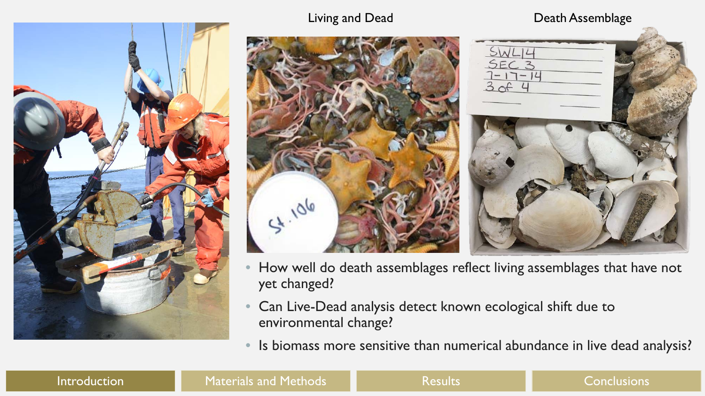



Living and Dead **Death Assemblage** 



- How well do death assemblages reflect living assemblages that have not yet changed?
- Can Live-Dead analysis detect known ecological shift due to environmental change?
- Is biomass more sensitive than numerical abundance in live dead analysis?

#### Introduction **Naterials and Methods** Network Results Conclusions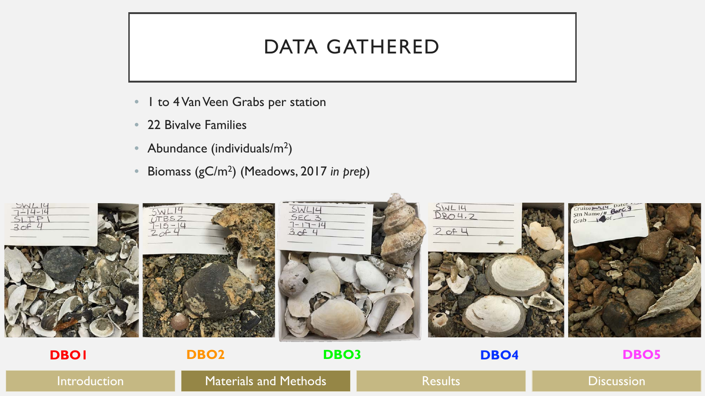#### DATA GATHERED

- I to 4 Van Veen Grabs per station
- 22 Bivalve Families
- Abundance (individuals/ $m^2$ )
- Biomass (gC/m2) (Meadows, 2017 *in prep*)



Introduction **Naterials and Methods Results Results Results Discussion**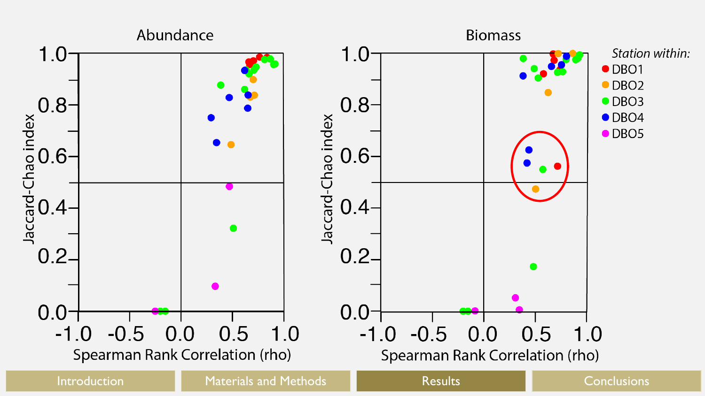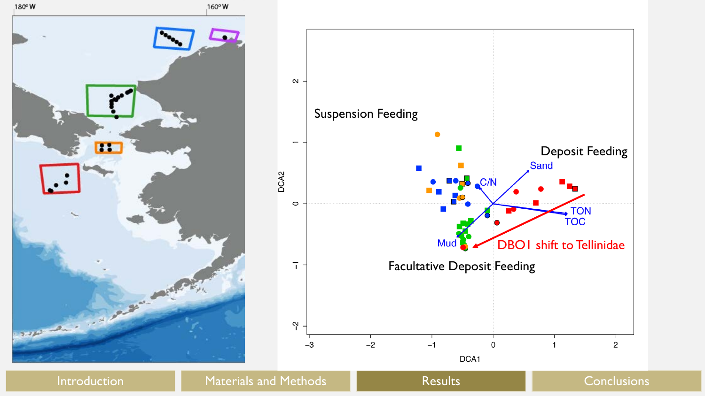



Introduction **Materials and Methods** Results Results Conclusions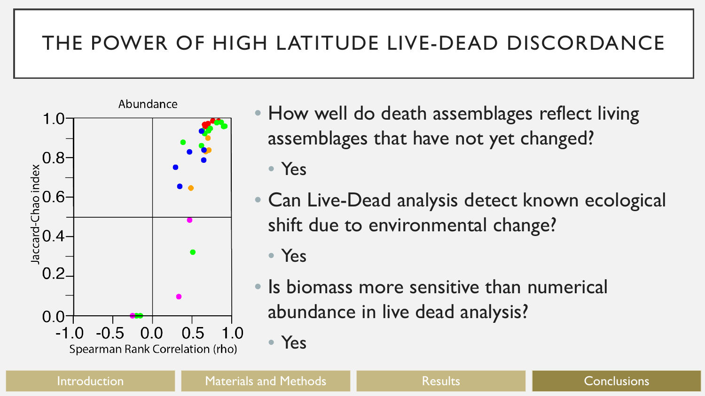### THE POWER OF HIGH LATITUDE LIVE-DEAD DISCORDANCE



• How well do death assemblages reflect living assemblages that have not yet changed?

• Yes

- Can Live-Dead analysis detect known ecological shift due to environmental change?
	- Yes

• Yes

• Is biomass more sensitive than numerical abundance in live dead analysis?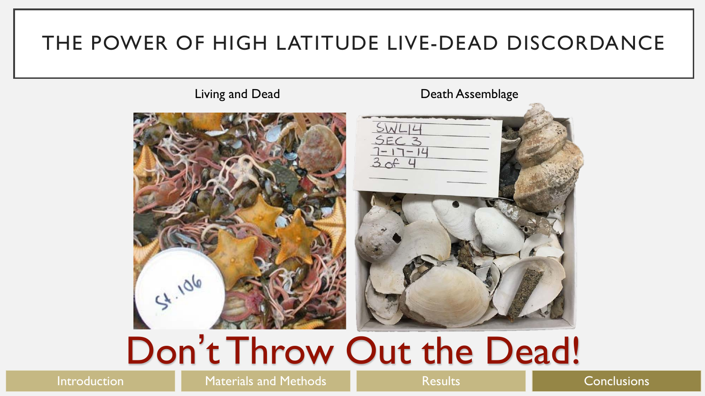#### THE POWER OF HIGH LATITUDE LIVE-DEAD DISCORDANCE

Living and Dead **Death Assemblage** 54.106

# Don't Throw Out the Dead!

Introduction **Naterials and Methods** Network Results Conclusions